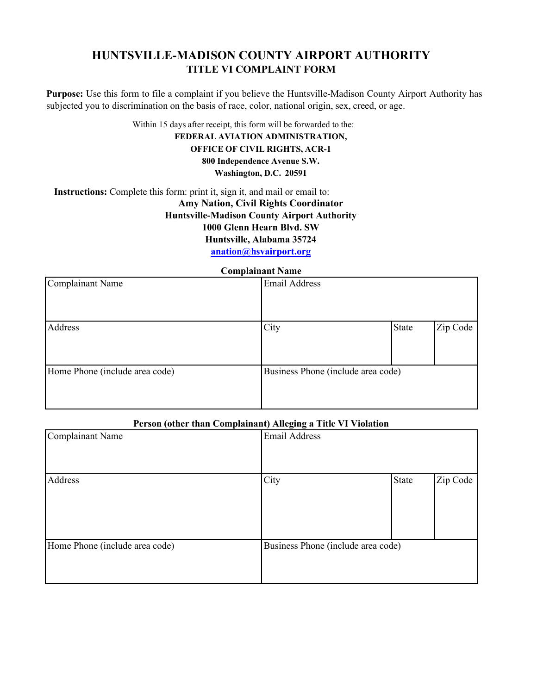## **HUNTSVILLE-MADISON COUNTY AIRPORT AUTHORITY TITLE VI COMPLAINT FORM**

**Purpose:** Use this form to file a complaint if you believe the Huntsville-Madison County Airport Authority has subjected you to discrimination on the basis of race, color, national origin, sex, creed, or age.

Within 15 days after receipt, this form will be forwarded to the:

#### **FEDERAL AVIATION ADMINISTRATION, OFFICE OF CIVIL RIGHTS, ACR-1 800 Independence Avenue S.W.**

**Washington, D.C. 20591**

**Instructions:** Complete this form: print it, sign it, and mail or email to: **Amy Nation, Civil Rights Coordinator Huntsville-Madison County Airport Authority 1000 Glenn Hearn Blvd. SW Huntsville, Alabama 35724 [anation@hsvairport.org](mailto:anation@hsvairport.org)**

**Complainant Name**

| Compiainant Name               |                                    |       |          |  |
|--------------------------------|------------------------------------|-------|----------|--|
| Complainant Name               | <b>Email Address</b>               |       |          |  |
|                                |                                    |       |          |  |
| Address                        | City                               | State | Zip Code |  |
| Home Phone (include area code) | Business Phone (include area code) |       |          |  |

### **Person (other than Complainant) Alleging a Title VI Violation**

| <b>Complainant Name</b>        | $\sigma$ $\sigma$<br><b>Email Address</b> |              |          |
|--------------------------------|-------------------------------------------|--------------|----------|
| Address                        | City                                      | <b>State</b> | Zip Code |
| Home Phone (include area code) | Business Phone (include area code)        |              |          |